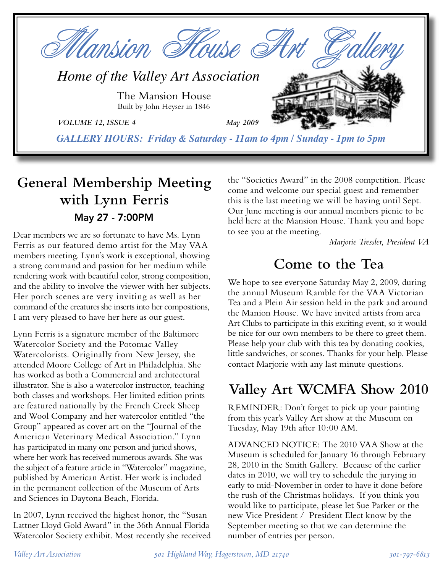

# **General Membership Meeting with Lynn Ferris** May 27 - 7:00PM

Dear members we are so fortunate to have Ms. Lynn Ferris as our featured demo artist for the May VAA members meeting. Lynn's work is exceptional, showing a strong command and passion for her medium while rendering work with beautiful color, strong composition, and the ability to involve the viewer with her subjects. Her porch scenes are very inviting as well as her command of the creatures she inserts into her compositions, I am very pleased to have her here as our guest.

Lynn Ferris is a signature member of the Baltimore Watercolor Society and the Potomac Valley Watercolorists. Originally from New Jersey, she attended Moore College of Art in Philadelphia. She has worked as both a Commercial and architectural illustrator. She is also a watercolor instructor, teaching both classes and workshops. Her limited edition prints are featured nationally by the French Creek Sheep and Wool Company and her watercolor entitled "the Group" appeared as cover art on the "Journal of the American Veterinary Medical Association." Lynn has participated in many one person and juried shows, where her work has received numerous awards. She was the subject of a feature article in "Watercolor" magazine, published by American Artist. Her work is included in the permanent collection of the Museum of Arts and Sciences in Daytona Beach, Florida.

In 2007, Lynn received the highest honor, the "Susan Lattner Lloyd Gold Award" in the 36th Annual Florida Watercolor Society exhibit. Most recently she received the "Societies Award" in the 2008 competition. Please come and welcome our special guest and remember this is the last meeting we will be having until Sept. Our June meeting is our annual members picnic to be held here at the Mansion House. Thank you and hope to see you at the meeting.

*Marjorie Tressler, President VA*

# **Come to the Tea**

We hope to see everyone Saturday May 2, 2009, during the annual Museum Ramble for the VAA Victorian Tea and a Plein Air session held in the park and around the Manion House. We have invited artists from area Art Clubs to participate in this exciting event, so it would be nice for our own members to be there to greet them. Please help your club with this tea by donating cookies, little sandwiches, or scones. Thanks for your help. Please contact Marjorie with any last minute questions.

# **Valley Art WCMFA Show 2010**

REMINDER: Don't forget to pick up your painting from this year's Valley Art show at the Museum on Tuesday, May 19th after 10:00 AM.

ADVANCED NOTICE: The 2010 VAA Show at the Museum is scheduled for January 16 through February 28, 2010 in the Smith Gallery. Because of the earlier dates in 2010, we will try to schedule the jurying in early to mid-November in order to have it done before the rush of the Christmas holidays. If you think you would like to participate, please let Sue Parker or the new Vice President / President Elect know by the September meeting so that we can determine the number of entries per person.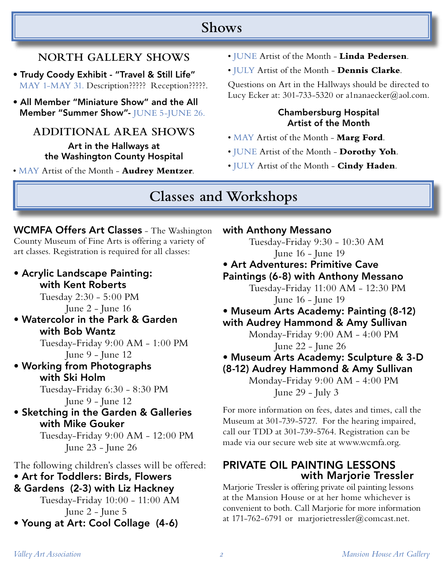## **Shows**

### **NORTH GALLERY SHOWS**

- Trudy Coody Exhibit "Travel & Still Life" MAY 1-MAY 31. Description????? Reception?????.
- All Member "Miniature Show" and the All Member "Summer Show"- JUNE 5-JUNE 26.

#### **ADDITIONAL AREA SHOWS**

Art in the Hallways at the Washington County Hospital

• MAY Artist of the Month - **Audrey Mentzer**.

- JUNE Artist of the Month **Linda Pedersen**.
- JULY Artist of the Month **Dennis Clarke**.

Questions on Art in the Hallways should be directed to Lucy Ecker at: 301-733-5320 or a1nanaecker@aol.com.

#### Chambersburg Hospital Artist of the Month

- MAY Artist of the Month **Marg Ford**.
- JUNE Artist of the Month **Dorothy Yoh**.
- JULY Artist of the Month **Cindy Haden**.

### **Classes and Workshops**

WCMFA Offers Art Classes - The Washington County Museum of Fine Arts is offering a variety of art classes. Registration is required for all classes:

• Acrylic Landscape Painting: with Kent Roberts Tuesday 2:30 - 5:00 PM June 2 - June 16

• Watercolor in the Park & Garden with Bob Wantz

 Tuesday-Friday 9:00 AM - 1:00 PM June 9 - June 12

• Working from Photographs with Ski Holm

> Tuesday-Friday 6:30 - 8:30 PM June 9 - June 12

• Sketching in the Garden & Galleries with Mike Gouker

> Tuesday-Friday 9:00 AM - 12:00 PM June 23 - June 26

The following children's classes will be offered: • Art for Toddlers: Birds, Flowers & Gardens (2-3) with Liz Hackney

 Tuesday-Friday 10:00 - 11:00 AM June 2 - June 5 • Young at Art: Cool Collage (4-6)

#### with Anthony Messano

Tuesday-Friday 9:30 - 10:30 AM June 16 - June 19

• Art Adventures: Primitive Cave Paintings (6-8) with Anthony Messano

Tuesday-Friday 11:00 AM - 12:30 PM June 16 - June 19

• Museum Arts Academy: Painting (8-12) with Audrey Hammond & Amy Sullivan

Monday-Friday 9:00 AM - 4:00 PM

June 22 - June 26

• Museum Arts Academy: Sculpture & 3-D

(8-12) Audrey Hammond & Amy Sullivan

Monday-Friday 9:00 AM - 4:00 PM June 29 - July 3

For more information on fees, dates and times, call the Museum at 301-739-5727. For the hearing impaired, call our TDD at 301-739-5764. Registration can be made via our secure web site at www.wcmfa.org.

### PRIVATE OIL PAINTING LESSONS with Marjorie Tressler

Marjorie Tressler is offering private oil painting lessons at the Mansion House or at her home whichever is convenient to both. Call Marjorie for more information at 171-762-6791 or marjorietressler@comcast.net.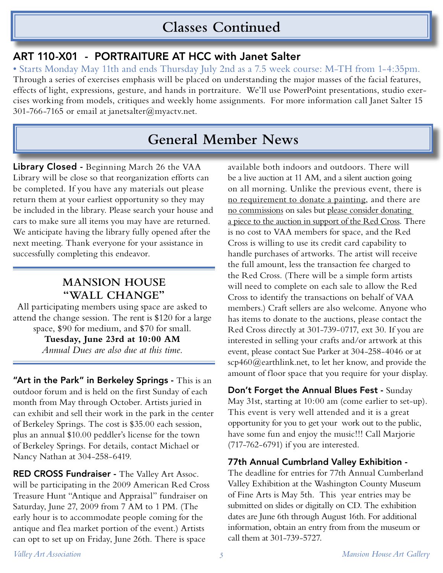# **Classes Continued**

### ART 110-X01 - PORTRAITURE AT HCC with Janet Salter

• Starts Monday May 11th and ends Thursday July 2nd as a 7.5 week course: M-TH from 1-4:35pm. Through a series of exercises emphasis will be placed on understanding the major masses of the facial features, effects of light, expressions, gesture, and hands in portraiture. We'll use PowerPoint presentations, studio exercises working from models, critiques and weekly home assignments. For more information call Janet Salter 15 301-766-7165 or email at janetsalter@myactv.net.

# **General Member News**

Library Closed - Beginning March 26 the VAA Library will be close so that reorganization efforts can be completed. If you have any materials out please return them at your earliest opportunity so they may be included in the library. Please search your house and cars to make sure all items you may have are returned. We anticipate having the library fully opened after the next meeting. Thank everyone for your assistance in successfully completing this endeavor.

### **MANSION HOUSE "WALL CHANGE"**

All participating members using space are asked to attend the change session. The rent is \$120 for a large space, \$90 for medium, and \$70 for small.

> **Tuesday, June 23rd at 10:00 AM** *Annual Dues are also due at this time.*

"Art in the Park" in Berkeley Springs - This is an outdoor forum and is held on the first Sunday of each month from May through October. Artists juried in can exhibit and sell their work in the park in the center of Berkeley Springs. The cost is \$35.00 each session, plus an annual \$10.00 peddler's license for the town of Berkeley Springs. For details, contact Michael or Nancy Nathan at 304-258-6419.

**RED CROSS Fundraiser - The Valley Art Assoc.** will be participating in the 2009 American Red Cross Treasure Hunt "Antique and Appraisal" fundraiser on Saturday, June 27, 2009 from 7 AM to 1 PM. (The early hour is to accommodate people coming for the antique and flea market portion of the event.) Artists can opt to set up on Friday, June 26th. There is space

available both indoors and outdoors. There will be a live auction at 11 AM, and a silent auction going on all morning. Unlike the previous event, there is no requirement to donate a painting, and there are no commissions on sales but please consider donating a piece to the auction in support of the Red Cross. There is no cost to VAA members for space, and the Red Cross is willing to use its credit card capability to handle purchases of artworks. The artist will receive the full amount, less the transaction fee charged to the Red Cross. (There will be a simple form artists will need to complete on each sale to allow the Red Cross to identify the transactions on behalf of VAA members.) Craft sellers are also welcome. Anyone who has items to donate to the auctions, please contact the Red Cross directly at 301-739-0717, ext 30. If you are interested in selling your crafts and/or artwork at this event, please contact Sue Parker at 304-258-4046 or at  $scp460$ @earthlink.net, to let her know, and provide the amount of floor space that you require for your display.

Don't Forget the Annual Blues Fest - Sunday May 31st, starting at 10:00 am (come earlier to set-up). This event is very well attended and it is a great opportunity for you to get your work out to the public, have some fun and enjoy the music!!! Call Marjorie (717-762-6791) if you are interested.

#### 77th Annual Cumbrland Valley Exhibition -

The deadline for entries for 77th Annual Cumberland Valley Exhibition at the Washington County Museum of Fine Arts is May 5th. This year entries may be submitted on slides or digitally on CD. The exhibition dates are June 6th through August 16th. For additional information, obtain an entry from from the museum or call them at 301-739-5727.